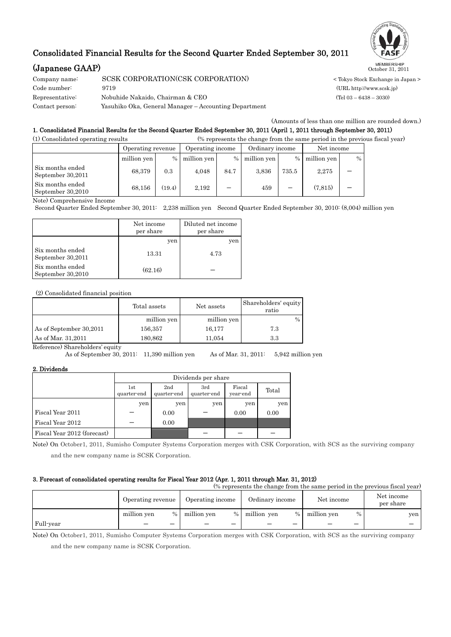## Consolidated Financial Results for the Second Quarter Ended September 30, 2011

# **(Japanese GAAP)** MEMBERSHIP October 31, 2011

| Company name:   | SCSK CORPORATION(CSK CORPORATION)                     |
|-----------------|-------------------------------------------------------|
| Code number:    | 9719                                                  |
| Representative: | Nobuhide Nakaido. Chairman & CEO                      |
| Contact person: | Yasuhiko Oka, General Manager – Accounting Department |



< Tokyo Stock Exchange in Japan > (URL http://www.scsk.jp)  $(Tel 03 - 6438 - 3030)$ 

(Amounts of less than one million are rounded down.)

### 1. Consolidated Financial Results for the Second Quarter Ended September 30, 2011 (April 1, 2011 through September 30, 2011)

| (1) Consolidated operating results    |                   |        | (% represents the change from the same period in the previous fiscal year) |      |                 |               |             |      |  |
|---------------------------------------|-------------------|--------|----------------------------------------------------------------------------|------|-----------------|---------------|-------------|------|--|
|                                       | Operating revenue |        | Operating income                                                           |      | Ordinary income |               | Net income  |      |  |
|                                       | million yen       | $\%$   | million yen                                                                | $\%$ | million yen     | $\frac{0}{0}$ | million yen | $\%$ |  |
| Six months ended<br>September 30,2011 | 68,379            | 0.3    | 4.048                                                                      | 84.7 | 3.836           | 735.5         | 2,275       |      |  |
| Six months ended<br>September 30,2010 | 68,156            | (19.4) | 2,192                                                                      |      | 459             |               | (7.815)     |      |  |

Note) Comprehensive Income

Second Quarter Ended September 30, 2011: 2,238 million yen Second Quarter Ended September 30, 2010: (8,004) million yen

|                                       | Net income<br>per share | Diluted net income<br>per share |
|---------------------------------------|-------------------------|---------------------------------|
|                                       | yen                     | yen                             |
| Six months ended<br>September 30,2011 | 13.31                   | 4.73                            |
| Six months ended<br>September 30,2010 | (62.16)                 |                                 |

(2) Consolidated financial position

|                         | Total assets | Net assets  | Shareholders' equity<br>ratio |
|-------------------------|--------------|-------------|-------------------------------|
|                         | million yen  | million yen | $\%$                          |
| As of September 30,2011 | 156,357      | 16,177      | 7.3                           |
| As of Mar. 31,2011      | 180,862      | 11.054      | 3.3                           |

Reference) Shareholders' equity

As of September 30, 2011: 11,390 million yen As of Mar. 31, 2011: 5,942 million yen

#### 2. Dividends

|                             | Dividends per share |                    |                    |                    |       |  |  |
|-----------------------------|---------------------|--------------------|--------------------|--------------------|-------|--|--|
|                             | 1st<br>quarter-end  | 2nd<br>quarter-end | 3rd<br>quarter-end | Fiscal<br>year-end | Total |  |  |
|                             | yen                 | yen                | yen                | yen                | yen   |  |  |
| Fiscal Year 2011            |                     | 0.00               |                    | 0.00               | 0.00  |  |  |
| Fiscal Year 2012            |                     | 0.00               |                    |                    |       |  |  |
| Fiscal Year 2012 (forecast) |                     |                    |                    |                    |       |  |  |

Note) On October1, 2011, Sumisho Computer Systems Corporation merges with CSK Corporation, with SCS as the surviving company

and the new company name is SCSK Corporation.

#### 3. Forecast of consolidated operating results for Fiscal Year 2012 (Apr. 1, 2011 through Mar. 31, 2012)

(% represents the change from the same period in the previous fiscal year) Operating revenue Operating income Ordinary income Net income Net income per share million yen % million yen % million yen % million yen % million yen % yen Full-year - - - - - - - - -

Note) On October1, 2011, Sumisho Computer Systems Corporation merges with CSK Corporation, with SCS as the surviving company

and the new company name is SCSK Corporation.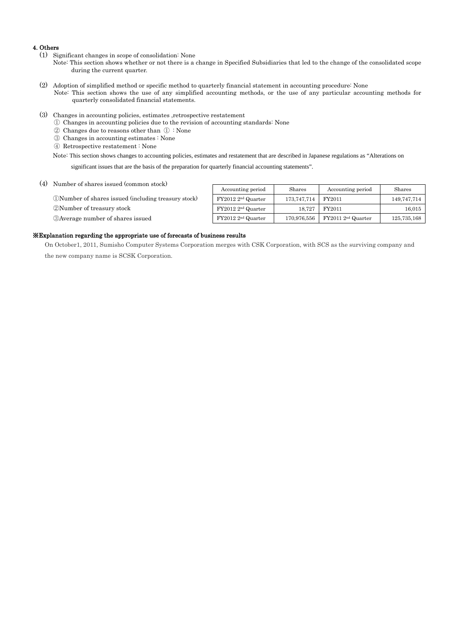#### 4. Others

- (1) Significant changes in scope of consolidation: None
	- Note: This section shows whether or not there is a change in Specified Subsidiaries that led to the change of the consolidated scope during the current quarter.
- (2) Adoption of simplified method or specific method to quarterly financial statement in accounting procedure: None Note: This section shows the use of any simplified accounting methods, or the use of any particular accounting methods for quarterly consolidated financial statements.
- (3) Changes in accounting policies, estimates ,retrospective restatement
	- ① Changes in accounting policies due to the revision of accounting standards: None
	- ② Changes due to reasons other than ① : None
	- ③ Changes in accounting estimates : None
	- ④ Retrospective restatement : None

Note: This section shows changes to accounting policies, estimates and restatement that are described in Japanese regulations as "Alterations on

significant issues that are the basis of the preparation for quarterly financial accounting statements".

(4) Number of shares issued (common stock)

①Number of shares issued (including treasury stock) ②Number of treasury stock

③Average number of shares issued

| Accounting period              | Shares      | Accounting period   | Shares      |
|--------------------------------|-------------|---------------------|-------------|
| FY2012 2 <sup>nd</sup> Quarter | 173,747,714 | FY2011              | 149,747,714 |
| FY2012 2 <sup>nd</sup> Quarter | 18.727      | FY2011              | 16,015      |
| $FY20122^{nd}$ Quarter         | 170,976,556 | $FY20112nd$ Quarter | 125,735,168 |

#### ※Explanation regarding the appropriate use of forecasts of business results

On October1, 2011, Sumisho Computer Systems Corporation merges with CSK Corporation, with SCS as the surviving company and the new company name is SCSK Corporation.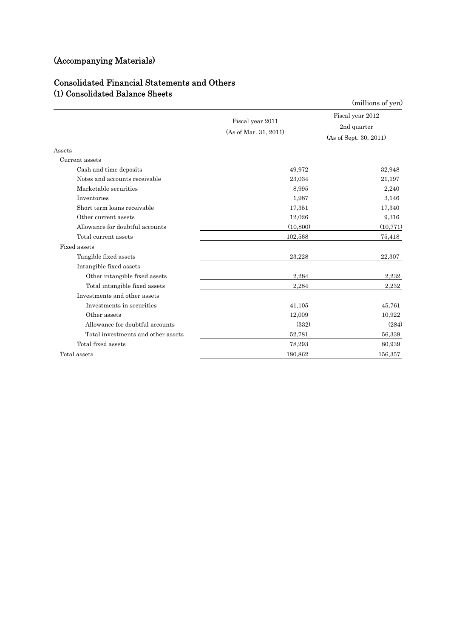# (Accompanying Materials)

## Consolidated Financial Statements and Others (1) Consolidated Balance Sheets

| oomoomaatoa Danamoo                |                                           | (millions of yen)                                         |
|------------------------------------|-------------------------------------------|-----------------------------------------------------------|
|                                    | Fiscal year 2011<br>(As of Mar. 31, 2011) | Fiscal year 2012<br>2nd quarter<br>(As of Sept. 30, 2011) |
| Assets                             |                                           |                                                           |
| Current assets                     |                                           |                                                           |
| Cash and time deposits             | 49,972                                    | 32,948                                                    |
| Notes and accounts receivable      | 23,034                                    | 21,197                                                    |
| Marketable securities              | 8.995                                     | 2,240                                                     |
| Inventories                        | 1,987                                     | 3.146                                                     |
| Short term loans receivable        | 17,351                                    | 17,340                                                    |
| Other current assets               | 12,026                                    | 9,316                                                     |
| Allowance for doubtful accounts    | (10, 800)                                 | (10, 771)                                                 |
| Total current assets               | 102,568                                   | 75,418                                                    |
| Fixed assets                       |                                           |                                                           |
| Tangible fixed assets              | 23,228                                    | 22,307                                                    |
| Intangible fixed assets            |                                           |                                                           |
| Other intangible fixed assets      | 2,284                                     | 2,232                                                     |
| Total intangible fixed assets      | 2,284                                     | 2,232                                                     |
| Investments and other assets       |                                           |                                                           |
| Investments in securities          | 41,105                                    | 45,761                                                    |
| Other assets                       | 12,009                                    | 10,922                                                    |
| Allowance for doubtful accounts    | (332)                                     | (284)                                                     |
| Total investments and other assets | 52,781                                    | 56,339                                                    |
| Total fixed assets                 | 78,293                                    | 80,939                                                    |
| Total assets                       | 180,862                                   | 156,357                                                   |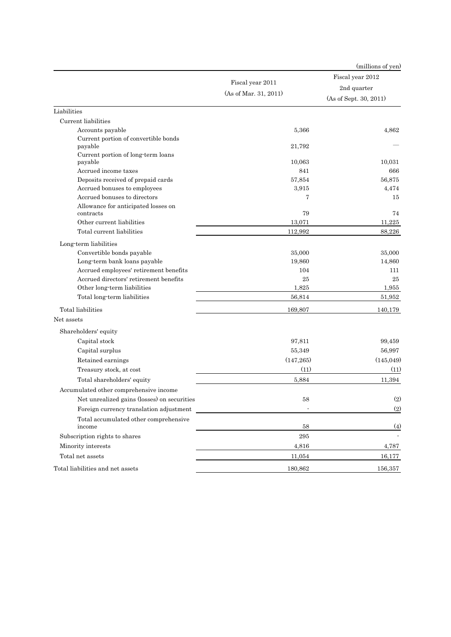|                                                 |                       | (millions of yen)      |  |
|-------------------------------------------------|-----------------------|------------------------|--|
|                                                 |                       | Fiscal year 2012       |  |
|                                                 | Fiscal year 2011      | 2nd quarter            |  |
|                                                 | (As of Mar. 31, 2011) | (As of Sept. 30, 2011) |  |
| Liabilities                                     |                       |                        |  |
| Current liabilities                             |                       |                        |  |
| Accounts payable                                | 5,366                 | 4.862                  |  |
| Current portion of convertible bonds<br>payable | 21,792                |                        |  |
| Current portion of long-term loans<br>payable   | 10,063                | 10,031                 |  |
| Accrued income taxes                            | 841                   | 666                    |  |
| Deposits received of prepaid cards              | 57,854                | 56,875                 |  |
| Accrued bonuses to employees                    | 3,915                 | 4,474                  |  |
| Accrued bonuses to directors                    | 7                     | 15                     |  |
| Allowance for anticipated losses on             |                       |                        |  |
| contracts                                       | 79                    | 74                     |  |
| Other current liabilities                       | 13,071                | 11,225                 |  |
| Total current liabilities                       | 112,992               | 88,226                 |  |
| Long term liabilities                           |                       |                        |  |
| Convertible bonds payable                       | 35,000                | 35,000                 |  |
| Long-term bank loans payable                    | 19,860                | 14,860                 |  |
| Accrued employees' retirement benefits          | 104                   | 111                    |  |
| Accrued directors' retirement benefits          | 25                    | 25                     |  |
| Other long-term liabilities                     | 1,825                 | 1,955                  |  |
| Total long-term liabilities                     | 56,814                | 51,952                 |  |
| Total liabilities                               | 169,807               | 140,179                |  |
| Net assets                                      |                       |                        |  |
| Shareholders' equity                            |                       |                        |  |
| Capital stock                                   | 97,811                | 99,459                 |  |
| Capital surplus                                 | 55,349                | 56,997                 |  |
| Retained earnings                               | (147, 265)            | (145, 049)             |  |
| Treasury stock, at cost                         | (11)                  | (11)                   |  |
| Total shareholders' equity                      | 5,884                 | 11,394                 |  |
| Accumulated other comprehensive income          |                       |                        |  |
| Net unrealized gains (losses) on securities     | 58                    | (2)                    |  |
| Foreign currency translation adjustment         |                       | (2)                    |  |
| Total accumulated other comprehensive           |                       |                        |  |
| income                                          | 58                    | (4)                    |  |
| Subscription rights to shares                   | 295                   |                        |  |
| Minority interests                              | 4,816                 | 4,787                  |  |
| Total net assets                                | 11,054                | 16,177                 |  |
| Total liabilities and net assets                | 180,862               | 156,357                |  |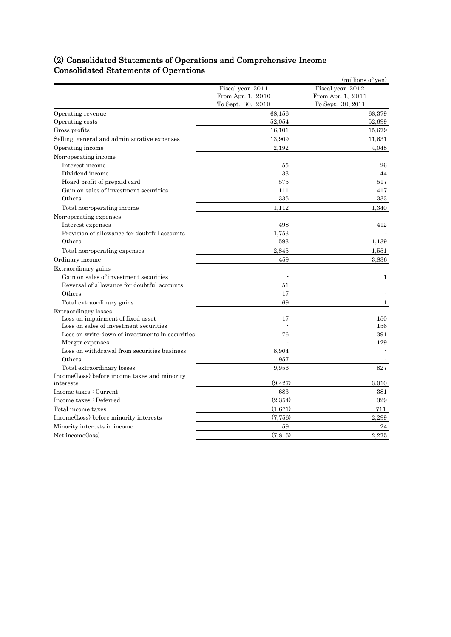## (2) Consolidated Statements of Operations and Comprehensive Income Consolidated Statements of Operations

|                                                 |                   | (millions of yen) |
|-------------------------------------------------|-------------------|-------------------|
|                                                 | Fiscal year 2011  | Fiscal year 2012  |
|                                                 | From Apr. 1, 2010 | From Apr. 1, 2011 |
|                                                 | To Sept. 30, 2010 | To Sept. 30, 2011 |
| Operating revenue                               | 68,156            | 68,379            |
| Operating costs                                 | 52,054            | 52,699            |
| Gross profits                                   | 16,101            | 15,679            |
| Selling, general and administrative expenses    | 13,909            | 11,631            |
| Operating income                                | 2,192             | 4,048             |
| Non-operating income                            |                   |                   |
| Interest income                                 | 55                | 26                |
| Dividend income                                 | 33                | 44                |
| Hoard profit of prepaid card                    | 575               | 517               |
| Gain on sales of investment securities          | 111               | 417               |
| Others                                          | 335               | 333               |
| Total non-operating income                      | 1.112             | 1,340             |
| Non-operating expenses                          |                   |                   |
| Interest expenses                               | 498               | 412               |
| Provision of allowance for doubtful accounts    | 1,753             |                   |
| Others                                          | 593               | 1,139             |
| Total non-operating expenses                    | 2,845             | 1,551             |
| Ordinary income                                 | 459               | 3,836             |
| Extraordinary gains                             |                   |                   |
| Gain on sales of investment securities          |                   | 1                 |
| Reversal of allowance for doubtful accounts     | 51                |                   |
| Others                                          | 17                |                   |
| Total extraordinary gains                       | 69                | $\mathbf{1}$      |
| Extraordinary losses                            |                   |                   |
| Loss on impairment of fixed asset               | 17                | 150               |
| Loss on sales of investment securities          |                   | 156               |
| Loss on write down of investments in securities | 76                | 391               |
| Merger expenses                                 |                   | 129               |
| Loss on withdrawal from securities business     | 8,904             |                   |
| Others                                          | 957               |                   |
| Total extraordinary losses                      | 9.956             | 827               |
| Income (Loss) before income taxes and minority  |                   |                   |
| interests                                       | (9, 427)          | 3,010             |
| Income taxes : Current                          | 683               | 381               |
| Income taxes : Deferred                         | (2,354)           | 329               |
| Total income taxes                              | (1,671)           | 711               |
| Income(Loss) before minority interests          | (7, 756)          | 2,299             |
| Minority interests in income                    | 59                | 24                |
| Net income(loss)                                | (7,815)           | 2,275             |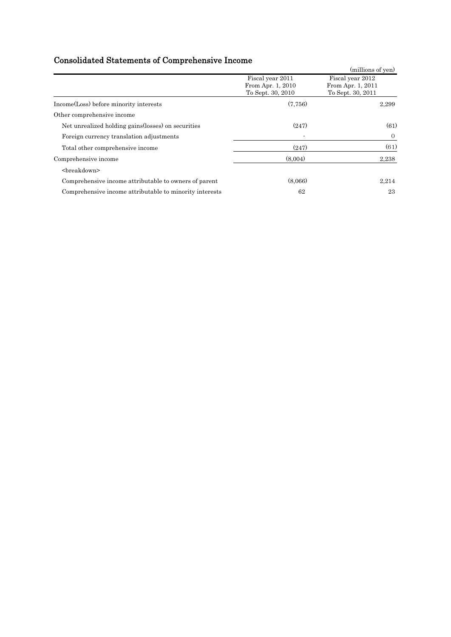# Consolidated Statements of Comprehensive Income

| oomoonaatoa otatomoon or comprendmitty modul            |                   |                   |
|---------------------------------------------------------|-------------------|-------------------|
|                                                         |                   | (millions of yen) |
|                                                         | Fiscal year 2011  | Fiscal year 2012  |
|                                                         | From Apr. 1, 2010 | From Apr. 1, 2011 |
|                                                         | To Sept. 30, 2010 | To Sept. 30, 2011 |
| Income(Loss) before minority interests                  | (7.756)           | 2,299             |
| Other comprehensive income                              |                   |                   |
| Net unrealized holding gains (losses) on securities     | (247)             | (61)              |
| Foreign currency translation adjustments                |                   | $\overline{0}$    |
| Total other comprehensive income                        | (247)             | (61)              |
| Comprehensive income                                    | (8,004)           | 2,238             |
| <breakdown></breakdown>                                 |                   |                   |
| Comprehensive income attributable to owners of parent   | (8,066)           | 2,214             |
| Comprehensive income attributable to minority interests | 62                | 23                |
|                                                         |                   |                   |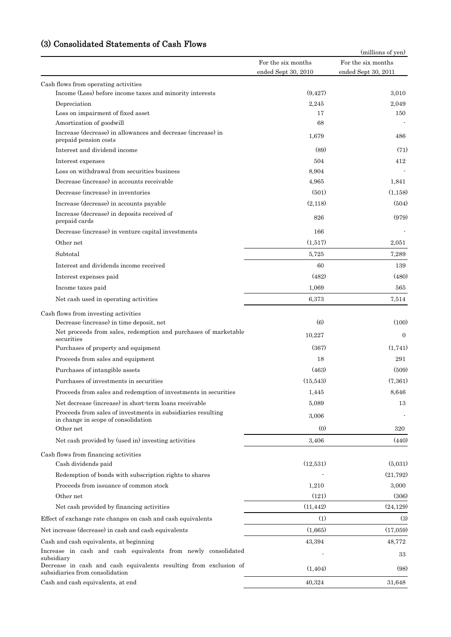## (3) Consolidated Statements of Cash Flows

| Consonuateu Dialements of                                                                                                                        |                                           | (millions of yen)                         |
|--------------------------------------------------------------------------------------------------------------------------------------------------|-------------------------------------------|-------------------------------------------|
|                                                                                                                                                  | For the six months<br>ended Sept 30, 2010 | For the six months<br>ended Sept 30, 2011 |
| Cash flows from operating activities                                                                                                             |                                           |                                           |
| Income (Loss) before income taxes and minority interests                                                                                         | (9, 427)                                  | 3,010                                     |
| Depreciation                                                                                                                                     | 2,245                                     | 2,049                                     |
| Loss on impairment of fixed asset                                                                                                                | 17                                        | 150                                       |
| Amortization of goodwill                                                                                                                         | 68                                        |                                           |
| Increase (decrease) in allowances and decrease (increase) in<br>prepaid pension costs                                                            | 1,679                                     | 486                                       |
| Interest and dividend income                                                                                                                     | (89)                                      | (71)                                      |
| Interest expenses                                                                                                                                | 504                                       | 412                                       |
| Loss on withdrawal from securities business                                                                                                      | 8,904                                     |                                           |
| Decrease (increase) in accounts receivable                                                                                                       | 4,965                                     | 1,841                                     |
| Decrease (increase) in inventories                                                                                                               | (501)                                     | (1,158)                                   |
| Increase (decrease) in accounts payable                                                                                                          | (2,118)                                   | (504)                                     |
| Increase (decrease) in deposits received of<br>prepaid cards                                                                                     | 826                                       | (979)                                     |
| Decrease (increase) in venture capital investments                                                                                               | 166                                       |                                           |
| Other net                                                                                                                                        | (1,517)                                   | 2,051                                     |
| Subtotal                                                                                                                                         | 5,725                                     | 7,289                                     |
| Interest and dividends income received                                                                                                           | 60                                        | 139                                       |
| Interest expenses paid                                                                                                                           | (482)                                     | (480)                                     |
| Income taxes paid                                                                                                                                | 1,069                                     | 565                                       |
| Net cash used in operating activities                                                                                                            | 6,373                                     | 7,514                                     |
|                                                                                                                                                  |                                           |                                           |
| Cash flows from investing activities<br>Decrease (increase) in time deposit, net                                                                 | $\left(6\right)$                          | (100)                                     |
| Net proceeds from sales, redemption and purchases of marketable<br>securities                                                                    | 10,227                                    | $\Omega$                                  |
| Purchases of property and equipment                                                                                                              | (367)                                     | (1,741)                                   |
| Proceeds from sales and equipment                                                                                                                | 18                                        | 291                                       |
| Purchases of intangible assets                                                                                                                   | (463)                                     | (509)                                     |
| Purchases of investments in securities                                                                                                           | (15,543)                                  | (7,361)                                   |
| Proceeds from sales and redemption of investments in securities                                                                                  | 1,445                                     | 8,646                                     |
| Net decrease (increase) in short-term loans receivable                                                                                           | 5,089                                     | 13                                        |
| Proceeds from sales of investments in subsidiaries resulting                                                                                     | 3,006                                     |                                           |
| in change in scope of consolidation                                                                                                              |                                           |                                           |
| Other net                                                                                                                                        | (0)                                       | 320                                       |
| Net cash provided by (used in) investing activities                                                                                              | 3,406                                     | (440)                                     |
| Cash flows from financing activities<br>Cash dividends paid                                                                                      | (12,531)                                  | (5,031)                                   |
| Redemption of bonds with subscription rights to shares                                                                                           |                                           | (21, 792)                                 |
| Proceeds from issuance of common stock                                                                                                           | 1,210                                     | 3,000                                     |
| Other net                                                                                                                                        | (121)                                     | (306)                                     |
| Net cash provided by financing activities                                                                                                        | (11, 442)                                 | (24, 129)                                 |
| Effect of exchange rate changes on cash and cash equivalents                                                                                     | (1)                                       | $\left(3\right)$                          |
|                                                                                                                                                  |                                           |                                           |
| Net increase (decrease) in cash and cash equivalents                                                                                             | (1,665)                                   | (17,059)                                  |
| Cash and cash equivalents, at beginning                                                                                                          | 43,394                                    | 48,772                                    |
| Increase in cash and cash equivalents from newly consolidated<br>subsidiary<br>Decrease in cash and cash equivalents resulting from exclusion of |                                           | 33                                        |
| subsidiaries from consolidation                                                                                                                  | (1, 404)                                  | (98)                                      |
| Cash and cash equivalents, at end                                                                                                                | 40,324                                    | 31,648                                    |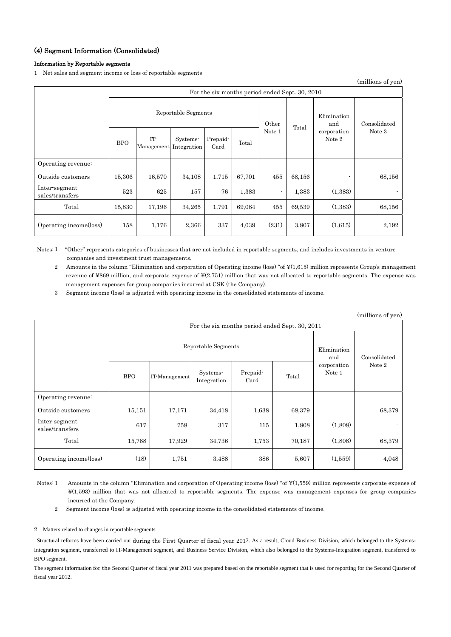### (4) Segment Information (Consolidated)

### Information by Reportable segments

1 Net sales and segment income or loss of reportable segments

(millions of yen)

|                                  | For the six months period ended Sept. 30, 2010 |                   |                         |                  |                |                    |              |                       |        |
|----------------------------------|------------------------------------------------|-------------------|-------------------------|------------------|----------------|--------------------|--------------|-----------------------|--------|
|                                  | Reportable Segments                            |                   |                         |                  | Other<br>Total | Elimination<br>and | Consolidated |                       |        |
|                                  | <b>BPO</b>                                     | IT-<br>Management | Systems-<br>Integration | Prepaid-<br>Card | Total          | Note 1             |              | corporation<br>Note 2 | Note 3 |
| Operating revenue:               |                                                |                   |                         |                  |                |                    |              |                       |        |
| Outside customers                | 15,306                                         | 16,570            | 34,108                  | 1,715            | 67,701         | 455                | 68,156       |                       | 68,156 |
| Inter-segment<br>sales/transfers | 523                                            | 625               | 157                     | 76               | 1,383          | $\sim$             | 1,383        | (1,383)               |        |
| Total                            | 15,830                                         | 17,196            | 34,265                  | 1,791            | 69,084         | 455                | 69,539       | (1,383)               | 68,156 |
| Operating income(loss)           | 158                                            | 1,176             | 2,366                   | 337              | 4,039          | (231)              | 3,807        | (1,615)               | 2,192  |

Notes: 1 "Other" represents categories of businesses that are not included in reportable segments, and includes investments in venture companies and investment trust managements.

2 Amounts in the column "Elimination and corporation of Operating income (loss) "of ¥(1,615) million represents Group's management revenue of ¥869 million, and corporate expense of ¥(2,751) million that was not allocated to reportable segments. The expense was management expenses for group companies incurred at CSK (the Company).

3 Segment income (loss) is adjusted with operating income in the consolidated statements of income.

|                                  |                                                |               |                         |                  |        |                       | (millions of yen) |
|----------------------------------|------------------------------------------------|---------------|-------------------------|------------------|--------|-----------------------|-------------------|
|                                  | For the six months period ended Sept. 30, 2011 |               |                         |                  |        |                       |                   |
|                                  | Reportable Segments                            |               |                         |                  |        | Elimination<br>and    | Consolidated      |
|                                  | <b>BPO</b>                                     | IT-Management | Systems-<br>Integration | Prepaid-<br>Card | Total  | corporation<br>Note 1 | Note 2            |
| Operating revenue:               |                                                |               |                         |                  |        |                       |                   |
| Outside customers                | 15,151                                         | 17,171        | 34,418                  | 1,638            | 68,379 |                       | 68,379            |
| Inter-segment<br>sales/transfers | 617                                            | 758           | 317                     | 115              | 1,808  | (1,808)               |                   |
| Total                            | 15,768                                         | 17,929        | 34,736                  | 1,753            | 70,187 | (1,808)               | 68,379            |
| Operating income(loss)           | (18)                                           | 1,751         | 3,488                   | 386              | 5,607  | (1,559)               | 4,048             |

Notes: 1 Amounts in the column "Elimination and corporation of Operating income (loss) "of ¥(1,559) million represents corporate expense of ¥(1,593) million that was not allocated to reportable segments. The expense was management expenses for group companies incurred at the Company.

2 Segment income (loss) is adjusted with operating income in the consolidated statements of income.

2 Matters related to changes in reportable segments

Structural reforms have been carried out during the First Quarter of fiscal year 2012. As a result, Cloud Business Division, which belonged to the Systems-Integration segment, transferred to IT-Management segment, and Business Service Division, which also belonged to the Systems-Integration segment, transferred to BPO segment.

The segment information for the Second Quarter of fiscal year 2011 was prepared based on the reportable segment that is used for reporting for the Second Quarter of fiscal year 2012.